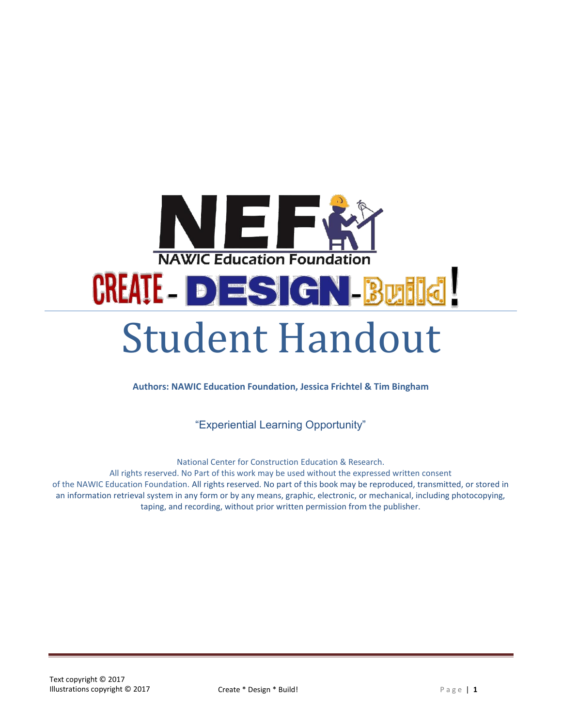

**Authors: NAWIC Education Foundation, Jessica Frichtel & Tim Bingham**

"Experiential Learning Opportunity"

National Center for Construction Education & Research.

All rights reserved. No Part of this work may be used without the expressed written consent of the NAWIC Education Foundation. All rights reserved. No part of this book may be reproduced, transmitted, or stored in an information retrieval system in any form or by any means, graphic, electronic, or mechanical, including photocopying, taping, and recording, without prior written permission from the publisher.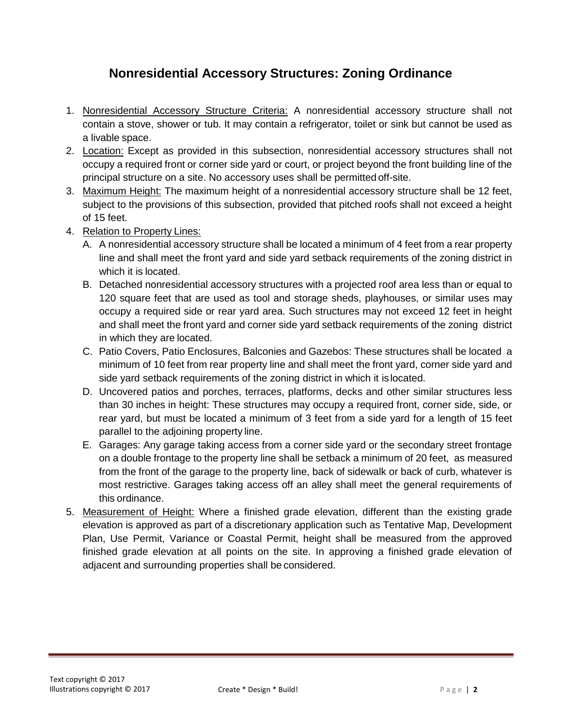### **Nonresidential Accessory Structures: Zoning Ordinance**

- 1. Nonresidential Accessory Structure Criteria: A nonresidential accessory structure shall not contain a stove, shower or tub. It may contain a refrigerator, toilet or sink but cannot be used as a livable space.
- 2. Location: Except as provided in this subsection, nonresidential accessory structures shall not occupy a required front or corner side yard or court, or project beyond the front building line of the principal structure on a site. No accessory uses shall be permitted off-site.
- 3. Maximum Height: The maximum height of a nonresidential accessory structure shall be 12 feet, subject to the provisions of this subsection, provided that pitched roofs shall not exceed a height of 15 feet.
- 4. Relation to Property Lines:
	- A. A nonresidential accessory structure shall be located a minimum of 4 feet from a rear property line and shall meet the front yard and side yard setback requirements of the zoning district in which it is located.
	- B. Detached nonresidential accessory structures with a projected roof area less than or equal to 120 square feet that are used as tool and storage sheds, playhouses, or similar uses may occupy a required side or rear yard area. Such structures may not exceed 12 feet in height and shall meet the front yard and corner side yard setback requirements of the zoning district in which they are located.
	- C. Patio Covers, Patio Enclosures, Balconies and Gazebos: These structures shall be located a minimum of 10 feet from rear property line and shall meet the front yard, corner side yard and side yard setback requirements of the zoning district in which it islocated.
	- D. Uncovered patios and porches, terraces, platforms, decks and other similar structures less than 30 inches in height: These structures may occupy a required front, corner side, side, or rear yard, but must be located a minimum of 3 feet from a side yard for a length of 15 feet parallel to the adjoining property line.
	- E. Garages: Any garage taking access from a corner side yard or the secondary street frontage on a double frontage to the property line shall be setback a minimum of 20 feet, as measured from the front of the garage to the property line, back of sidewalk or back of curb, whatever is most restrictive. Garages taking access off an alley shall meet the general requirements of this ordinance.
- 5. Measurement of Height: Where a finished grade elevation, different than the existing grade elevation is approved as part of a discretionary application such as Tentative Map, Development Plan, Use Permit, Variance or Coastal Permit, height shall be measured from the approved finished grade elevation at all points on the site. In approving a finished grade elevation of adjacent and surrounding properties shall be considered.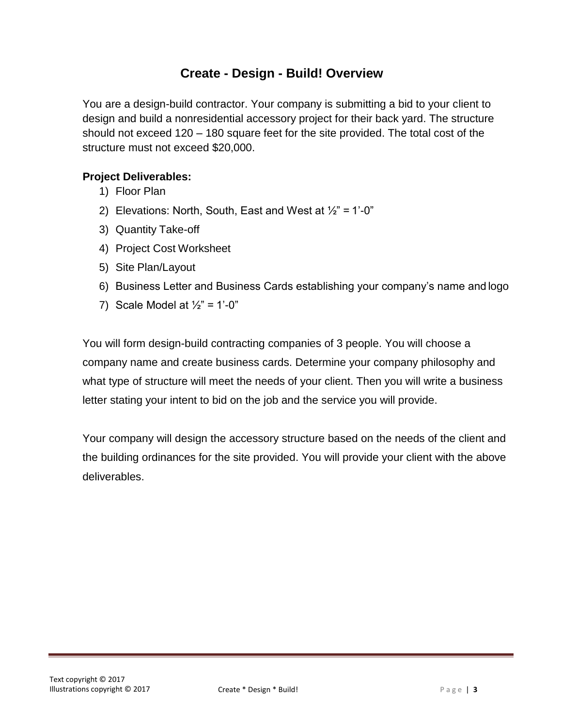### **Create - Design - Build! Overview**

You are a design-build contractor. Your company is submitting a bid to your client to design and build a nonresidential accessory project for their back yard. The structure should not exceed 120 – 180 square feet for the site provided. The total cost of the structure must not exceed \$20,000.

#### **Project Deliverables:**

- 1) Floor Plan
- 2) Elevations: North, South, East and West at  $\frac{1}{2}$ " = 1'-0"
- 3) Quantity Take-off
- 4) Project Cost Worksheet
- 5) Site Plan/Layout
- 6) Business Letter and Business Cards establishing your company's name and logo
- 7) Scale Model at  $\frac{1}{2}$ " = 1'-0"

You will form design-build contracting companies of 3 people. You will choose a company name and create business cards. Determine your company philosophy and what type of structure will meet the needs of your client. Then you will write a business letter stating your intent to bid on the job and the service you will provide.

Your company will design the accessory structure based on the needs of the client and the building ordinances for the site provided. You will provide your client with the above deliverables.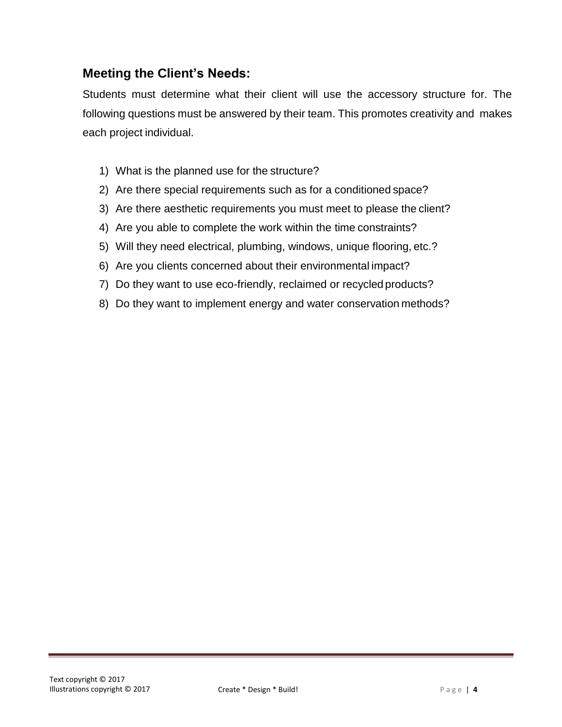### **Meeting the Client's Needs:**

Students must determine what their client will use the accessory structure for. The following questions must be answered by their team. This promotes creativity and makes each project individual.

- 1) What is the planned use for the structure?
- 2) Are there special requirements such as for a conditioned space?
- 3) Are there aesthetic requirements you must meet to please the client?
- 4) Are you able to complete the work within the time constraints?
- 5) Will they need electrical, plumbing, windows, unique flooring, etc.?
- 6) Are you clients concerned about their environmental impact?
- 7) Do they want to use eco-friendly, reclaimed or recycled products?
- 8) Do they want to implement energy and water conservation methods?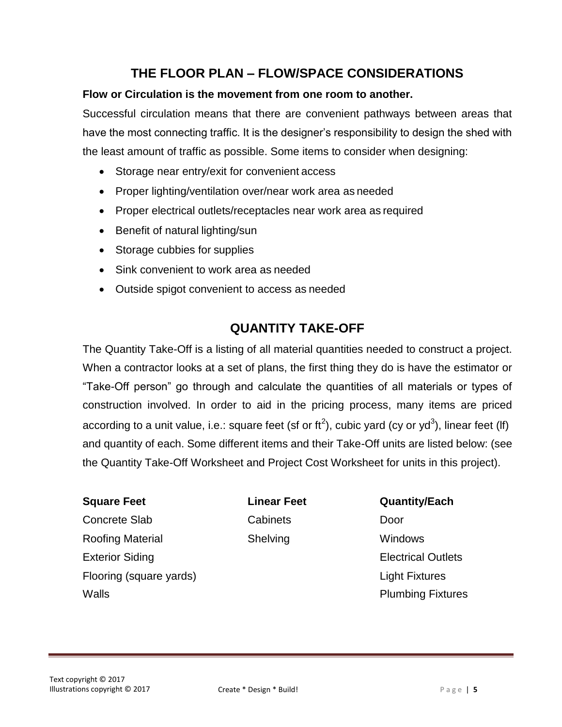## **THE FLOOR PLAN – FLOW/SPACE CONSIDERATIONS**

#### **Flow or Circulation is the movement from one room to another.**

Successful circulation means that there are convenient pathways between areas that have the most connecting traffic. It is the designer's responsibility to design the shed with the least amount of traffic as possible. Some items to consider when designing:

- Storage near entry/exit for convenient access
- Proper lighting/ventilation over/near work area as needed
- Proper electrical outlets/receptacles near work area as required
- Benefit of natural lighting/sun
- Storage cubbies for supplies
- Sink convenient to work area as needed
- Outside spigot convenient to access as needed

### **QUANTITY TAKE-OFF**

The Quantity Take-Off is a listing of all material quantities needed to construct a project. When a contractor looks at a set of plans, the first thing they do is have the estimator or "Take-Off person" go through and calculate the quantities of all materials or types of construction involved. In order to aid in the pricing process, many items are priced according to a unit value, i.e.: square feet (sf or ft<sup>2</sup>), cubic yard (cy or yd<sup>3</sup>), linear feet (lf) and quantity of each. Some different items and their Take-Off units are listed below: (see the Quantity Take-Off Worksheet and Project Cost Worksheet for units in this project).

#### **Square Feet Linear Feet Quantity/Each**

**Concrete Slab Cabinets** Cabinets Door Roofing Material Exterior Siding Flooring (square yards) Walls

Shelving Windows

Electrical Outlets

Light Fixtures Plumbing Fixtures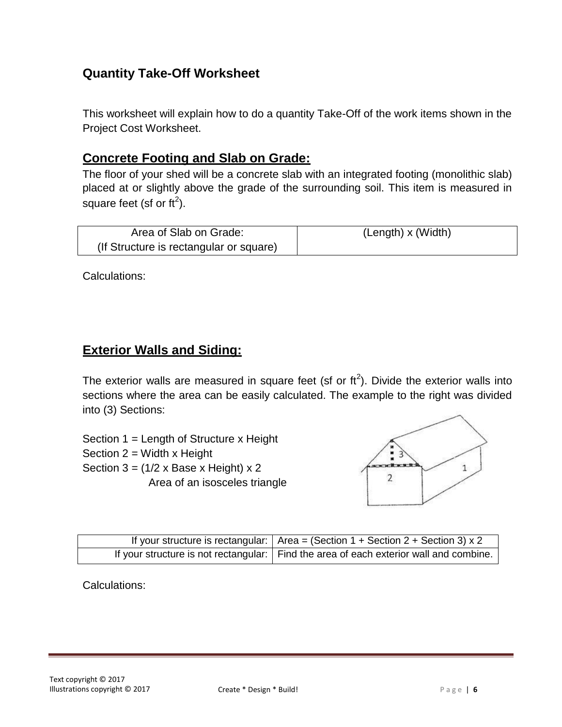## **Quantity Take-Off Worksheet**

This worksheet will explain how to do a quantity Take-Off of the work items shown in the Project Cost Worksheet.

### **Concrete Footing and Slab on Grade:**

The floor of your shed will be a concrete slab with an integrated footing (monolithic slab) placed at or slightly above the grade of the surrounding soil. This item is measured in square feet (sf or ft<sup>2</sup>).

| Area of Slab on Grade:                  | (Length) x (Width) |
|-----------------------------------------|--------------------|
| (If Structure is rectangular or square) |                    |

Calculations:

### **Exterior Walls and Siding:**

The exterior walls are measured in square feet (sf or  $\text{ft}^2$ ). Divide the exterior walls into sections where the area can be easily calculated. The example to the right was divided into (3) Sections:

Section 1 = Length of Structure x Height Section  $2 =$  Width x Height Section  $3 = (1/2 \times \text{Base} \times \text{Height}) \times 2$ Area of an isosceles triangle



| If your structure is rectangular: $ $ Area = (Section 1 + Section 2 + Section 3) x 2     |
|------------------------------------------------------------------------------------------|
| If your structure is not rectangular:   Find the area of each exterior wall and combine. |

Calculations: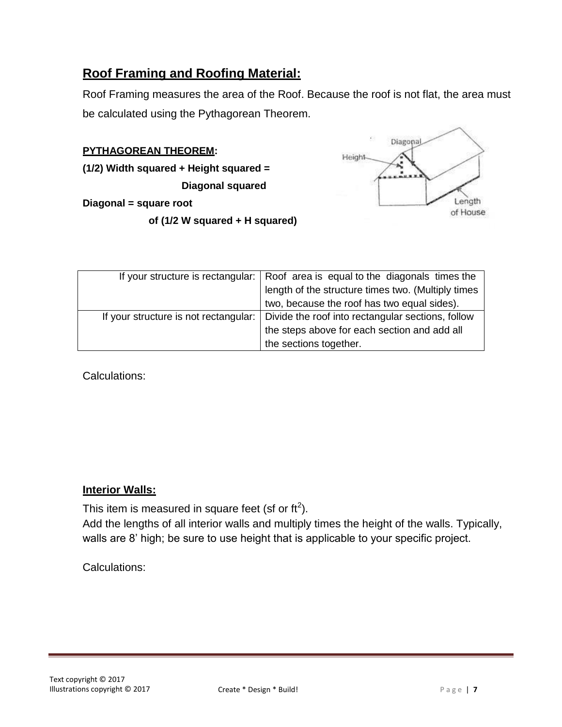### **Roof Framing and Roofing Material:**

Roof Framing measures the area of the Roof. Because the roof is not flat, the area must be calculated using the Pythagorean Theorem.

#### **PYTHAGOREAN THEOREM:**

**(1/2) Width squared + Height squared =**

**Diagonal squared** 

**Diagonal = square root**

**of (1/2 W squared + H squared)**



|                                       | If your structure is rectangular:   Roof area is equal to the diagonals times the |
|---------------------------------------|-----------------------------------------------------------------------------------|
|                                       | length of the structure times two. (Multiply times                                |
|                                       | two, because the roof has two equal sides).                                       |
| If your structure is not rectangular: | Divide the roof into rectangular sections, follow                                 |
|                                       | the steps above for each section and add all                                      |
|                                       | the sections together.                                                            |

Calculations:

#### **Interior Walls:**

This item is measured in square feet (sf or ft<sup>2</sup>).

Add the lengths of all interior walls and multiply times the height of the walls. Typically, walls are 8' high; be sure to use height that is applicable to your specific project.

Calculations: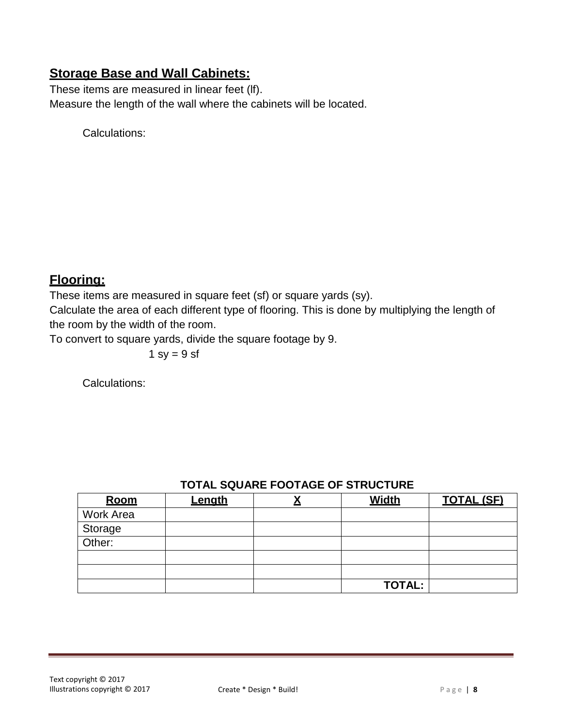### **Storage Base and Wall Cabinets:**

These items are measured in linear feet (lf). Measure the length of the wall where the cabinets will be located.

Calculations:

## **Flooring:**

These items are measured in square feet (sf) or square yards (sy).

Calculate the area of each different type of flooring. This is done by multiplying the length of the room by the width of the room.

To convert to square yards, divide the square footage by 9.

1 sy =  $9$  sf

Calculations:

| Room              | <u>Length</u> | <b>Width</b>  | <u>TOTAL (SF)</u> |
|-------------------|---------------|---------------|-------------------|
| <b>Work Area</b>  |               |               |                   |
| Storage<br>Other: |               |               |                   |
|                   |               |               |                   |
|                   |               |               |                   |
|                   |               |               |                   |
|                   |               | <b>TOTAL:</b> |                   |

### **TOTAL SQUARE FOOTAGE OF STRUCTURE**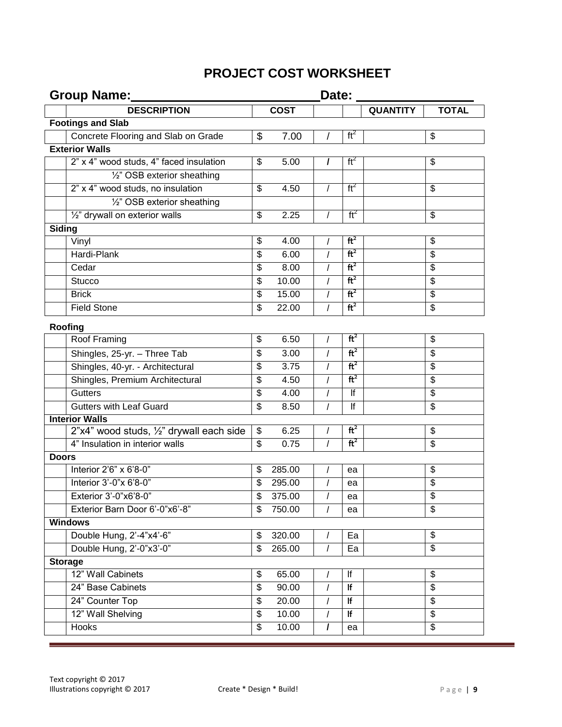# **PROJECT COST WORKSHEET**

| Group Name:                              | Date:                    |             |          |                 |                 |                                        |
|------------------------------------------|--------------------------|-------------|----------|-----------------|-----------------|----------------------------------------|
| <b>DESCRIPTION</b>                       |                          | <b>COST</b> |          |                 | <b>QUANTITY</b> | <b>TOTAL</b>                           |
| <b>Footings and Slab</b>                 |                          |             |          |                 |                 |                                        |
| Concrete Flooring and Slab on Grade      | \$                       | 7.00        | T        | ft <sup>2</sup> |                 | \$                                     |
| <b>Exterior Walls</b>                    |                          |             |          |                 |                 |                                        |
| 2" x 4" wood studs, 4" faced insulation  | \$                       | 5.00        | I        | ft <sup>2</sup> |                 | \$                                     |
| 1/2" OSB exterior sheathing              |                          |             |          |                 |                 |                                        |
| 2" x 4" wood studs, no insulation        | $\overline{\mathcal{G}}$ | 4.50        | T        | $ft^2$          |                 | $\overline{\mathcal{G}}$               |
| 1/2" OSB exterior sheathing              |                          |             |          |                 |                 |                                        |
| 1/2" drywall on exterior walls           | \$                       | 2.25        |          | $ft^2$          |                 | \$                                     |
| Siding                                   |                          |             |          |                 |                 |                                        |
| Vinyl                                    | \$                       | 4.00        | I        | ft <sup>2</sup> |                 | \$                                     |
| Hardi-Plank                              | \$                       | 6.00        | I        | ft <sup>2</sup> |                 | \$                                     |
| Cedar                                    | \$                       | 8.00        | I        | ft <sup>2</sup> |                 | \$                                     |
| <b>Stucco</b>                            | \$                       | 10.00       | $\prime$ | ft <sup>2</sup> |                 | $\overline{\boldsymbol{\mathfrak{s}}}$ |
| <b>Brick</b>                             | \$                       | 15.00       | I        | ft <sup>2</sup> |                 | \$                                     |
| <b>Field Stone</b>                       | \$                       | 22.00       | I        | ft <sup>2</sup> |                 | $\overline{\mathbf{3}}$                |
| Roofing                                  |                          |             |          |                 |                 |                                        |
| Roof Framing                             | \$                       | 6.50        | $\prime$ | ft <sup>2</sup> |                 | \$                                     |
| Shingles, 25-yr. - Three Tab             | \$                       | 3.00        | I        | ft <sup>2</sup> |                 | \$                                     |
| Shingles, 40-yr. - Architectural         | \$                       | 3.75        | I        | ft <sup>2</sup> |                 | $\overline{\mathbf{3}}$                |
| Shingles, Premium Architectural          | $\overline{\mathcal{G}}$ | 4.50        | I        | ft <sup>2</sup> |                 | $\overline{\boldsymbol{\theta}}$       |
| <b>Gutters</b>                           | \$                       | 4.00        | I        | lf              |                 | \$                                     |
| <b>Gutters with Leaf Guard</b>           | \$                       | 8.50        | $\prime$ | lf              |                 | $\overline{\mathcal{S}}$               |
| <b>Interior Walls</b>                    |                          |             |          |                 |                 |                                        |
| 2"x4" wood studs, 1/2" drywall each side | \$                       | 6.25        | I        | ft <sup>2</sup> |                 | \$                                     |
| 4" Insulation in interior walls          | \$                       | 0.75        | $\prime$ | ft <sup>2</sup> |                 | \$                                     |
| <b>Doors</b>                             |                          |             |          |                 |                 |                                        |
| Interior 2'6" x 6'8-0"                   | \$                       | 285.00      |          | ea              |                 | \$                                     |
| Interior 3'-0"x 6'8-0"                   | \$                       | 295.00      | I        | ea              |                 | $\overline{\boldsymbol{\theta}}$       |
| Exterior 3'-0"x6'8-0"                    | \$                       | 375.00      |          | ea              |                 | $\overline{\mathbf{3}}$                |
| Exterior Barn Door 6'-0"x6'-8"           | \$                       | 750.00      | I        | ea              |                 | $\overline{\mathcal{G}}$               |
| <b>Windows</b>                           |                          |             |          |                 |                 |                                        |
| Double Hung, 2'-4"x4'-6"                 | \$                       | 320.00      | I        | Ea              |                 | \$                                     |
| Double Hung, 2'-0"x3'-0"                 | \$                       | 265.00      | $\prime$ | Ea              |                 | $\overline{\$}$                        |
| <b>Storage</b>                           |                          |             |          |                 |                 |                                        |
| 12" Wall Cabinets                        | \$                       | 65.00       |          | lf              |                 | \$                                     |
| 24" Base Cabinets                        | \$                       | 90.00       | $\prime$ | If              |                 | $\overline{\$}$                        |
| 24" Counter Top                          | \$                       | 20.00       | I        | If              |                 | $\overline{\mathbf{G}}$                |
| 12" Wall Shelving                        | \$                       | 10.00       | T        | lf              |                 | \$                                     |
| Hooks                                    | $\overline{\mathcal{S}}$ | 10.00       | $\prime$ | ea              |                 | $\overline{\mathcal{S}}$               |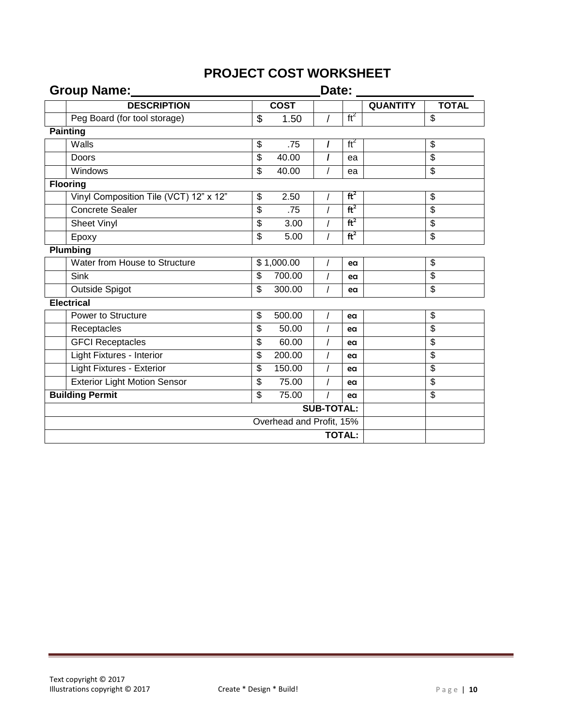# **PROJECT COST WORKSHEET**

| Group Name:                            |                                  |             |                | Date:           |                 |                                  |  |  |
|----------------------------------------|----------------------------------|-------------|----------------|-----------------|-----------------|----------------------------------|--|--|
| <b>DESCRIPTION</b>                     |                                  | <b>COST</b> |                |                 | <b>QUANTITY</b> | <b>TOTAL</b>                     |  |  |
| Peg Board (for tool storage)           | \$                               | 1.50        | $\overline{I}$ | $ft^2$          |                 | \$                               |  |  |
| <b>Painting</b>                        |                                  |             |                |                 |                 |                                  |  |  |
| Walls                                  | \$                               | .75         | $\prime$       | ft <sup>2</sup> |                 | $\overline{\mathbf{e}}$          |  |  |
| Doors                                  | $\overline{\mathbf{3}}$          | 40.00       | $\prime$       | ea              |                 | \$                               |  |  |
| Windows                                | \$                               | 40.00       | $\prime$       | ea              |                 | \$                               |  |  |
| <b>Flooring</b>                        |                                  |             |                |                 |                 |                                  |  |  |
| Vinyl Composition Tile (VCT) 12" x 12" | \$                               | 2.50        |                | ft <sup>2</sup> |                 | $\overline{\mathbf{e}}$          |  |  |
| <b>Concrete Sealer</b>                 | $\overline{\mathbf{e}}$          | .75         | $\overline{I}$ | ft <sup>2</sup> |                 | \$                               |  |  |
| Sheet Vinyl                            | $\overline{\boldsymbol{\theta}}$ | 3.00        | $\overline{I}$ | ft <sup>2</sup> |                 | \$                               |  |  |
| Epoxy                                  | \$                               | 5.00        | $\prime$       | ft <sup>2</sup> |                 | $\overline{\mathcal{S}}$         |  |  |
| <b>Plumbing</b>                        |                                  |             |                |                 |                 |                                  |  |  |
| Water from House to Structure          | \$1,000.00                       |             |                | ea              |                 | $\overline{\mathcal{G}}$         |  |  |
| Sink                                   | \$                               | 700.00      | $\prime$       | ea              |                 | \$                               |  |  |
| <b>Outside Spigot</b>                  | \$                               | 300.00      | $\prime$       | ea              |                 | $\overline{\mathcal{S}}$         |  |  |
| <b>Electrical</b>                      |                                  |             |                |                 |                 |                                  |  |  |
| Power to Structure                     | \$                               | 500.00      |                | ea              |                 | $\overline{\mathbf{e}}$          |  |  |
| Receptacles                            | $\overline{\mathbf{3}}$          | 50.00       | $\prime$       | ea              |                 | \$                               |  |  |
| <b>GFCI Receptacles</b>                | \$                               | 60.00       | $\prime$       | ea              |                 | $\overline{\boldsymbol{\theta}}$ |  |  |
| Light Fixtures - Interior              | $\overline{\mathbf{3}}$          | 200.00      | $\prime$       | ea              |                 | \$                               |  |  |
| Light Fixtures - Exterior              | $\overline{\mathbf{3}}$          | 150.00      |                | ea              |                 | \$                               |  |  |
| <b>Exterior Light Motion Sensor</b>    | $\overline{\mathbf{e}}$          | 75.00       | $\prime$       | eα              |                 | $\overline{\$}$                  |  |  |
| <b>Building Permit</b>                 | $\overline{\mathcal{S}}$         | 75.00       | $\prime$       | ea              |                 | $\overline{\mathcal{S}}$         |  |  |
|                                        | <b>SUB-TOTAL:</b>                |             |                |                 |                 |                                  |  |  |
|                                        | Overhead and Profit, 15%         |             |                |                 |                 |                                  |  |  |
|                                        | <b>TOTAL:</b>                    |             |                |                 |                 |                                  |  |  |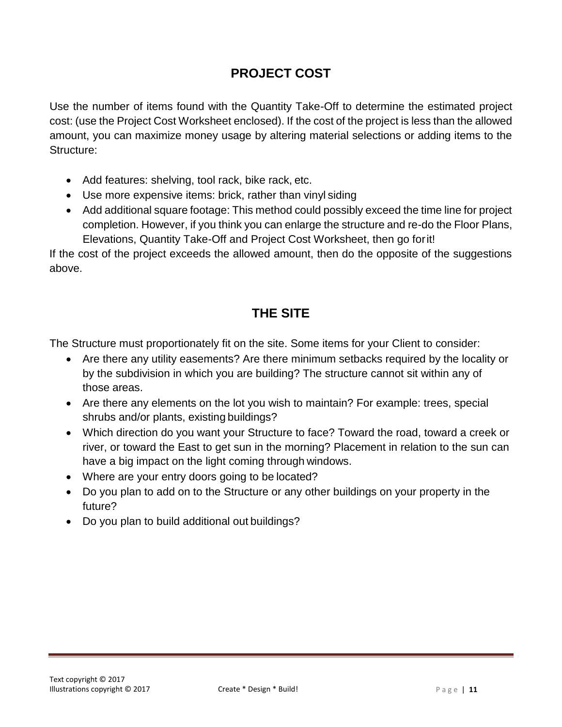## **PROJECT COST**

Use the number of items found with the Quantity Take-Off to determine the estimated project cost: (use the Project Cost Worksheet enclosed). If the cost of the project is less than the allowed amount, you can maximize money usage by altering material selections or adding items to the Structure:

- Add features: shelving, tool rack, bike rack, etc.
- Use more expensive items: brick, rather than vinyl siding
- Add additional square footage: This method could possibly exceed the time line for project completion. However, if you think you can enlarge the structure and re-do the Floor Plans, Elevations, Quantity Take-Off and Project Cost Worksheet, then go forit!

If the cost of the project exceeds the allowed amount, then do the opposite of the suggestions above.

## **THE SITE**

The Structure must proportionately fit on the site. Some items for your Client to consider:

- Are there any utility easements? Are there minimum setbacks required by the locality or by the subdivision in which you are building? The structure cannot sit within any of those areas.
- Are there any elements on the lot you wish to maintain? For example: trees, special shrubs and/or plants, existing buildings?
- Which direction do you want your Structure to face? Toward the road, toward a creek or river, or toward the East to get sun in the morning? Placement in relation to the sun can have a big impact on the light coming through windows.
- Where are your entry doors going to be located?
- Do you plan to add on to the Structure or any other buildings on your property in the future?
- Do you plan to build additional out buildings?